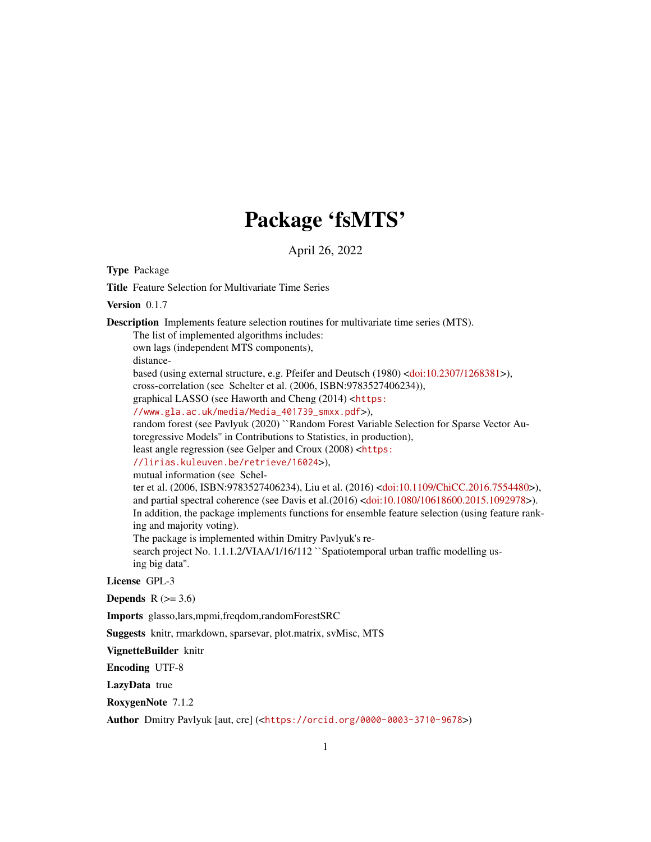## Package 'fsMTS'

April 26, 2022

Type Package

Title Feature Selection for Multivariate Time Series

Version 0.1.7

Description Implements feature selection routines for multivariate time series (MTS).

The list of implemented algorithms includes: own lags (independent MTS components), distancebased (using external structure, e.g. Pfeifer and Deutsch (1980) [<doi:10.2307/1268381>](https://doi.org/10.2307/1268381)), cross-correlation (see Schelter et al. (2006, ISBN:9783527406234)), graphical LASSO (see Haworth and Cheng (2014) <[https:](https://www.gla.ac.uk/media/Media_401739_smxx.pdf) [//www.gla.ac.uk/media/Media\\_401739\\_smxx.pdf](https://www.gla.ac.uk/media/Media_401739_smxx.pdf)>), random forest (see Pavlyuk (2020) ``Random Forest Variable Selection for Sparse Vector Autoregressive Models'' in Contributions to Statistics, in production), least angle regression (see Gelper and Croux (2008) <[https:](https://lirias.kuleuven.be/retrieve/16024) [//lirias.kuleuven.be/retrieve/16024](https://lirias.kuleuven.be/retrieve/16024)>), mutual information (see Schelter et al. (2006, ISBN:9783527406234), Liu et al. (2016) [<doi:10.1109/ChiCC.2016.7554480>](https://doi.org/10.1109/ChiCC.2016.7554480)), and partial spectral coherence (see Davis et al.(2016) [<doi:10.1080/10618600.2015.1092978>](https://doi.org/10.1080/10618600.2015.1092978)). In addition, the package implements functions for ensemble feature selection (using feature ranking and majority voting).

The package is implemented within Dmitry Pavlyuk's re-

search project No. 1.1.1.2/VIAA/1/16/112 "Spatiotemporal urban traffic modelling using big data''.

#### License GPL-3

Depends  $R$  ( $> = 3.6$ )

Imports glasso,lars,mpmi,freqdom,randomForestSRC

Suggests knitr, rmarkdown, sparsevar, plot.matrix, svMisc, MTS

VignetteBuilder knitr

Encoding UTF-8

LazyData true

RoxygenNote 7.1.2

Author Dmitry Pavlyuk [aut, cre] (<<https://orcid.org/0000-0003-3710-9678>>)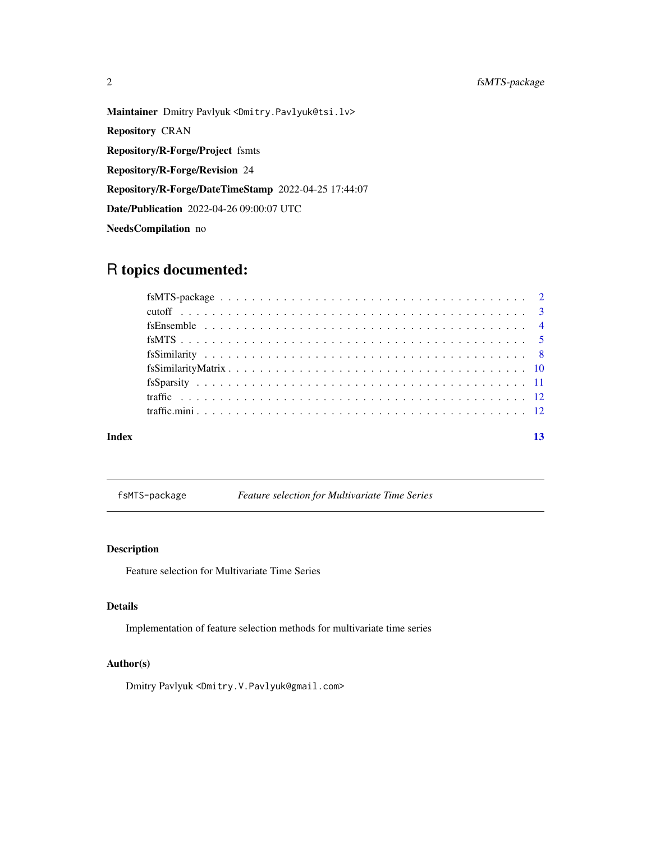## <span id="page-1-0"></span>2 fsMTS-package

Maintainer Dmitry Pavlyuk <Dmitry.Pavlyuk@tsi.lv> Repository CRAN Repository/R-Forge/Project fsmts Repository/R-Forge/Revision 24 Repository/R-Forge/DateTimeStamp 2022-04-25 17:44:07 Date/Publication 2022-04-26 09:00:07 UTC NeedsCompilation no

## R topics documented:

| Index | 13 |  |
|-------|----|--|

fsMTS-package *Feature selection for Multivariate Time Series*

#### Description

Feature selection for Multivariate Time Series

#### Details

Implementation of feature selection methods for multivariate time series

## Author(s)

Dmitry Pavlyuk <Dmitry.V.Pavlyuk@gmail.com>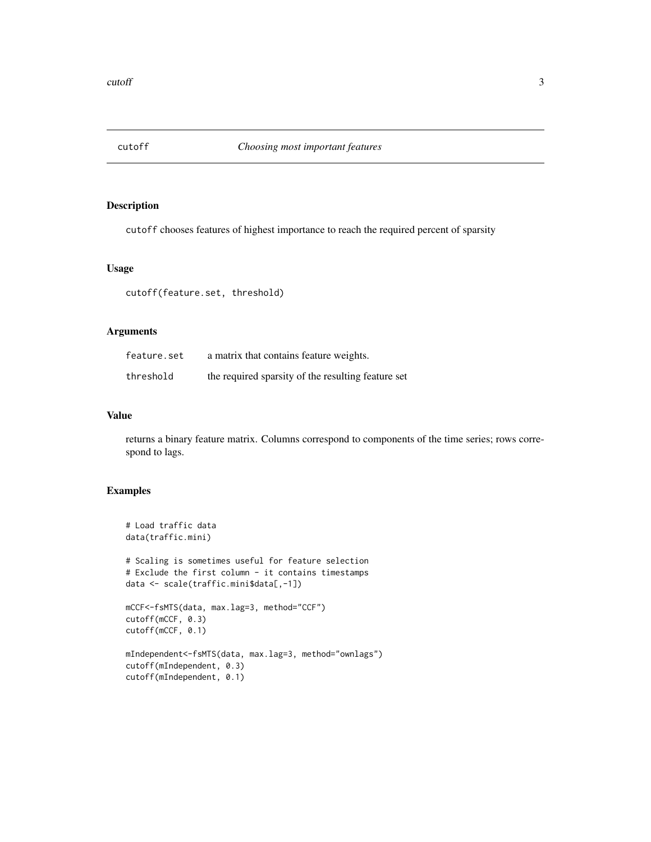<span id="page-2-0"></span>

#### Description

cutoff chooses features of highest importance to reach the required percent of sparsity

#### Usage

cutoff(feature.set, threshold)

#### Arguments

| feature.set | a matrix that contains feature weights.            |
|-------------|----------------------------------------------------|
| threshold   | the required sparsity of the resulting feature set |

## Value

returns a binary feature matrix. Columns correspond to components of the time series; rows correspond to lags.

```
# Load traffic data
data(traffic.mini)
# Scaling is sometimes useful for feature selection
# Exclude the first column - it contains timestamps
data <- scale(traffic.mini$data[,-1])
mCCF<-fsMTS(data, max.lag=3, method="CCF")
cutoff(mCCF, 0.3)
cutoff(mCCF, 0.1)
mIndependent<-fsMTS(data, max.lag=3, method="ownlags")
cutoff(mIndependent, 0.3)
cutoff(mIndependent, 0.1)
```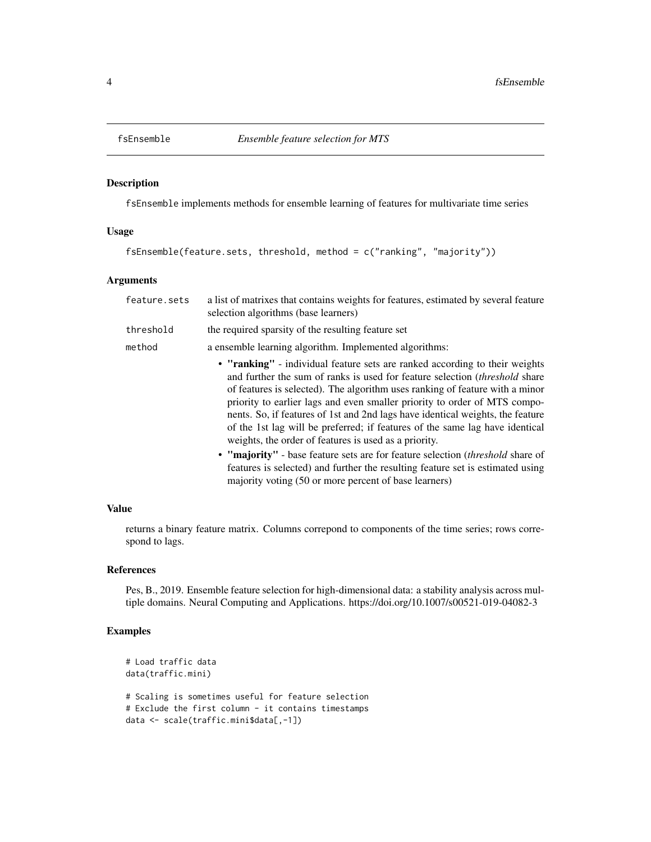<span id="page-3-0"></span>

#### Description

fsEnsemble implements methods for ensemble learning of features for multivariate time series

#### Usage

```
fsEnsemble(feature.sets, threshold, method = c("ranking", "majority"))
```
## Arguments

| feature.sets | a list of matrixes that contains weights for features, estimated by several feature<br>selection algorithms (base learners)                                                                                                                                                                                                                                                                                                                                                                                                                                |
|--------------|------------------------------------------------------------------------------------------------------------------------------------------------------------------------------------------------------------------------------------------------------------------------------------------------------------------------------------------------------------------------------------------------------------------------------------------------------------------------------------------------------------------------------------------------------------|
| threshold    | the required sparsity of the resulting feature set                                                                                                                                                                                                                                                                                                                                                                                                                                                                                                         |
| method       | a ensemble learning algorithm. Implemented algorithms:                                                                                                                                                                                                                                                                                                                                                                                                                                                                                                     |
|              | • "ranking" - individual feature sets are ranked according to their weights<br>and further the sum of ranks is used for feature selection <i>(threshold share)</i><br>of features is selected). The algorithm uses ranking of feature with a minor<br>priority to earlier lags and even smaller priority to order of MTS compo-<br>nents. So, if features of 1st and 2nd lags have identical weights, the feature<br>of the 1st lag will be preferred; if features of the same lag have identical<br>weights, the order of features is used as a priority. |
|              | • "majority" - base feature sets are for feature selection <i>(threshold share of</i><br>features is selected) and further the resulting feature set is estimated using<br>majority voting (50 or more percent of base learners)                                                                                                                                                                                                                                                                                                                           |

#### Value

returns a binary feature matrix. Columns correpond to components of the time series; rows correspond to lags.

#### References

Pes, B., 2019. Ensemble feature selection for high-dimensional data: a stability analysis across multiple domains. Neural Computing and Applications. https://doi.org/10.1007/s00521-019-04082-3

```
# Load traffic data
data(traffic.mini)
# Scaling is sometimes useful for feature selection
# Exclude the first column - it contains timestamps
data <- scale(traffic.mini$data[,-1])
```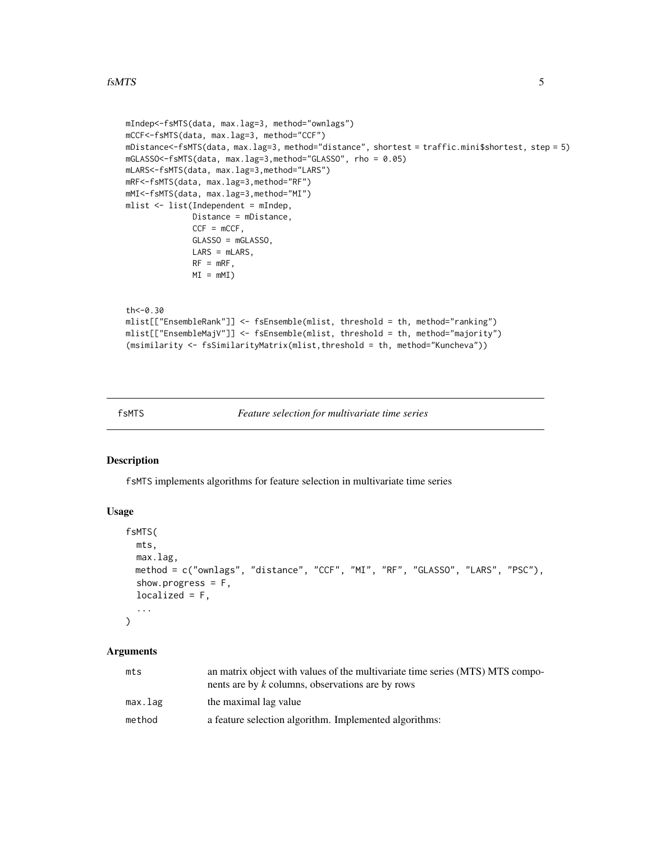```
mIndep<-fsMTS(data, max.lag=3, method="ownlags")
mCCF<-fsMTS(data, max.lag=3, method="CCF")
mDistance<-fsMTS(data, max.lag=3, method="distance", shortest = traffic.mini$shortest, step = 5)
mGLASSO<-fsMTS(data, max.lag=3,method="GLASSO", rho = 0.05)
mLARS<-fsMTS(data, max.lag=3,method="LARS")
mRF<-fsMTS(data, max.lag=3,method="RF")
mMI<-fsMTS(data, max.lag=3,method="MI")
mlist <- list(Independent = mIndep,
              Distance = mDistance,
              CCF = mCCF,GLASSO = mGLASSO,
              LARS = mLARS,
              RF = mRF,MI = mMth<-0.30
mlist[["EnsembleRank"]] <- fsEnsemble(mlist, threshold = th, method="ranking")
mlist[["EnsembleMajV"]] <- fsEnsemble(mlist, threshold = th, method="majority")
(msimilarity <- fsSimilarityMatrix(mlist,threshold = th, method="Kuncheva"))
```
fsMTS *Feature selection for multivariate time series*

#### Description

fsMTS implements algorithms for feature selection in multivariate time series

#### Usage

```
fsMTS(
  mts,
  max.lag,
  method = c("ownlags", "distance", "CCF", "MI", "RF", "GLASSO", "LARS", "PSC"),
  show.progress = F,
  localized = F,
  ...
\mathcal{L}
```
#### Arguments

| mts     | an matrix object with values of the multivariate time series (MTS) MTS compo-<br>nents are by k columns, observations are by rows |
|---------|-----------------------------------------------------------------------------------------------------------------------------------|
| max.lag | the maximal lag value                                                                                                             |
| method  | a feature selection algorithm. Implemented algorithms:                                                                            |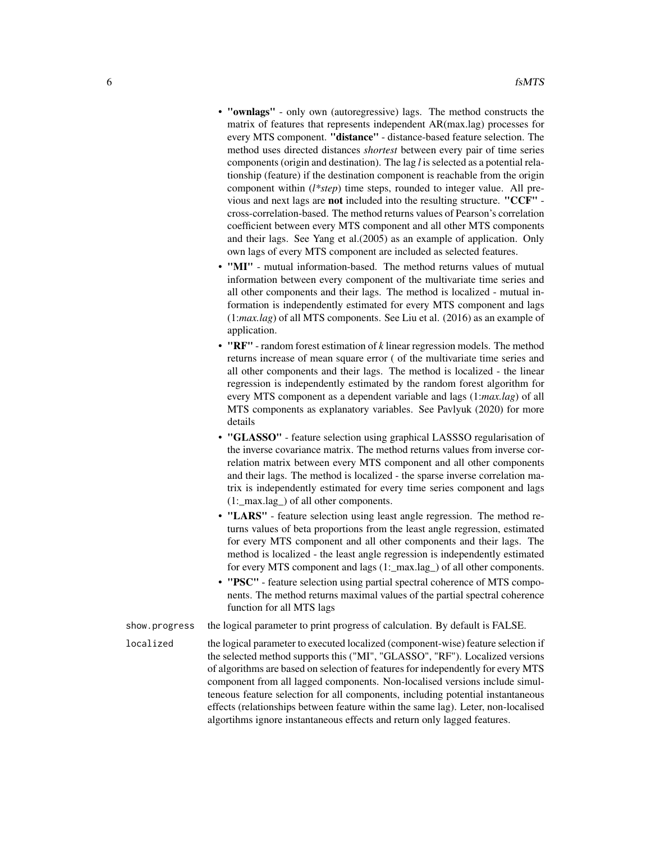- "ownlags" only own (autoregressive) lags. The method constructs the matrix of features that represents independent AR(max.lag) processes for every MTS component. "distance" - distance-based feature selection. The method uses directed distances *shortest* between every pair of time series components (origin and destination). The lag *l* is selected as a potential relationship (feature) if the destination component is reachable from the origin component within (*l\*step*) time steps, rounded to integer value. All previous and next lags are not included into the resulting structure. "CCF" cross-correlation-based. The method returns values of Pearson's correlation coefficient between every MTS component and all other MTS components and their lags. See Yang et al.(2005) as an example of application. Only own lags of every MTS component are included as selected features.
- "MI" mutual information-based. The method returns values of mutual information between every component of the multivariate time series and all other components and their lags. The method is localized - mutual information is independently estimated for every MTS component and lags (1:*max.lag*) of all MTS components. See Liu et al. (2016) as an example of application.
- "RF" random forest estimation of *k* linear regression models. The method returns increase of mean square error ( of the multivariate time series and all other components and their lags. The method is localized - the linear regression is independently estimated by the random forest algorithm for every MTS component as a dependent variable and lags (1:*max.lag*) of all MTS components as explanatory variables. See Pavlyuk (2020) for more details
- "GLASSO" feature selection using graphical LASSSO regularisation of the inverse covariance matrix. The method returns values from inverse correlation matrix between every MTS component and all other components and their lags. The method is localized - the sparse inverse correlation matrix is independently estimated for every time series component and lags (1:\_max.lag\_) of all other components.
- "LARS" feature selection using least angle regression. The method returns values of beta proportions from the least angle regression, estimated for every MTS component and all other components and their lags. The method is localized - the least angle regression is independently estimated for every MTS component and lags (1:\_max.lag\_) of all other components.
- "PSC" feature selection using partial spectral coherence of MTS components. The method returns maximal values of the partial spectral coherence function for all MTS lags

show.progress the logical parameter to print progress of calculation. By default is FALSE.

localized the logical parameter to executed localized (component-wise) feature selection if the selected method supports this ("MI", "GLASSO", "RF"). Localized versions of algorithms are based on selection of features for independently for every MTS component from all lagged components. Non-localised versions include simulteneous feature selection for all components, including potential instantaneous effects (relationships between feature within the same lag). Leter, non-localised algortihms ignore instantaneous effects and return only lagged features.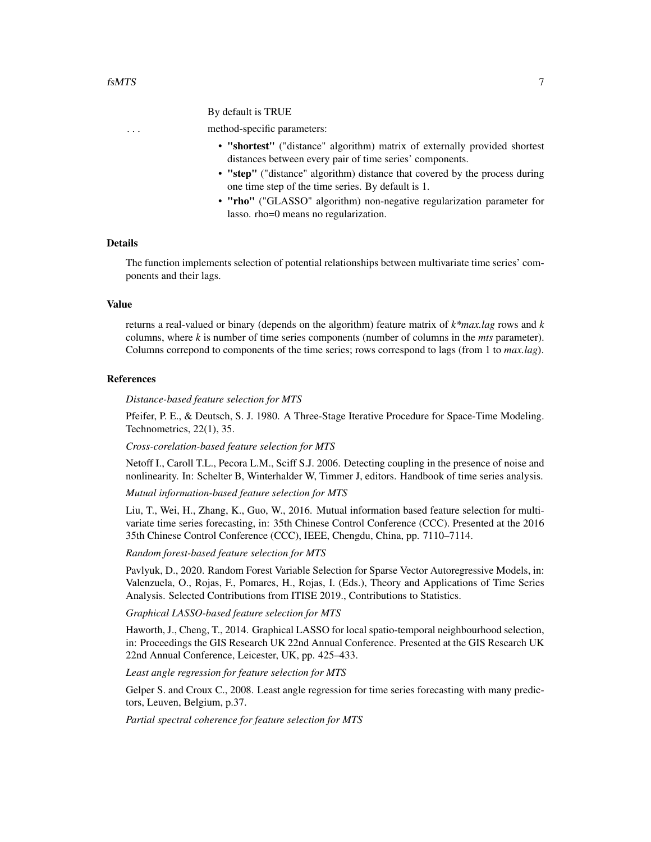#### By default is TRUE

#### ... method-specific parameters:

- "shortest" ("distance" algorithm) matrix of externally provided shortest distances between every pair of time series' components.
- "step" ("distance" algorithm) distance that covered by the process during one time step of the time series. By default is 1.
- "rho" ("GLASSO" algorithm) non-negative regularization parameter for lasso. rho=0 means no regularization.

#### Details

The function implements selection of potential relationships between multivariate time series' components and their lags.

#### Value

returns a real-valued or binary (depends on the algorithm) feature matrix of *k\*max.lag* rows and *k* columns, where *k* is number of time series components (number of columns in the *mts* parameter). Columns correpond to components of the time series; rows correspond to lags (from 1 to *max.lag*).

#### References

*Distance-based feature selection for MTS*

Pfeifer, P. E., & Deutsch, S. J. 1980. A Three-Stage Iterative Procedure for Space-Time Modeling. Technometrics, 22(1), 35.

#### *Cross-corelation-based feature selection for MTS*

Netoff I., Caroll T.L., Pecora L.M., Sciff S.J. 2006. Detecting coupling in the presence of noise and nonlinearity. In: Schelter B, Winterhalder W, Timmer J, editors. Handbook of time series analysis.

*Mutual information-based feature selection for MTS*

Liu, T., Wei, H., Zhang, K., Guo, W., 2016. Mutual information based feature selection for multivariate time series forecasting, in: 35th Chinese Control Conference (CCC). Presented at the 2016 35th Chinese Control Conference (CCC), IEEE, Chengdu, China, pp. 7110–7114.

*Random forest-based feature selection for MTS*

Pavlyuk, D., 2020. Random Forest Variable Selection for Sparse Vector Autoregressive Models, in: Valenzuela, O., Rojas, F., Pomares, H., Rojas, I. (Eds.), Theory and Applications of Time Series Analysis. Selected Contributions from ITISE 2019., Contributions to Statistics.

*Graphical LASSO-based feature selection for MTS*

Haworth, J., Cheng, T., 2014. Graphical LASSO for local spatio-temporal neighbourhood selection, in: Proceedings the GIS Research UK 22nd Annual Conference. Presented at the GIS Research UK 22nd Annual Conference, Leicester, UK, pp. 425–433.

*Least angle regression for feature selection for MTS*

Gelper S. and Croux C., 2008. Least angle regression for time series forecasting with many predictors, Leuven, Belgium, p.37.

*Partial spectral coherence for feature selection for MTS*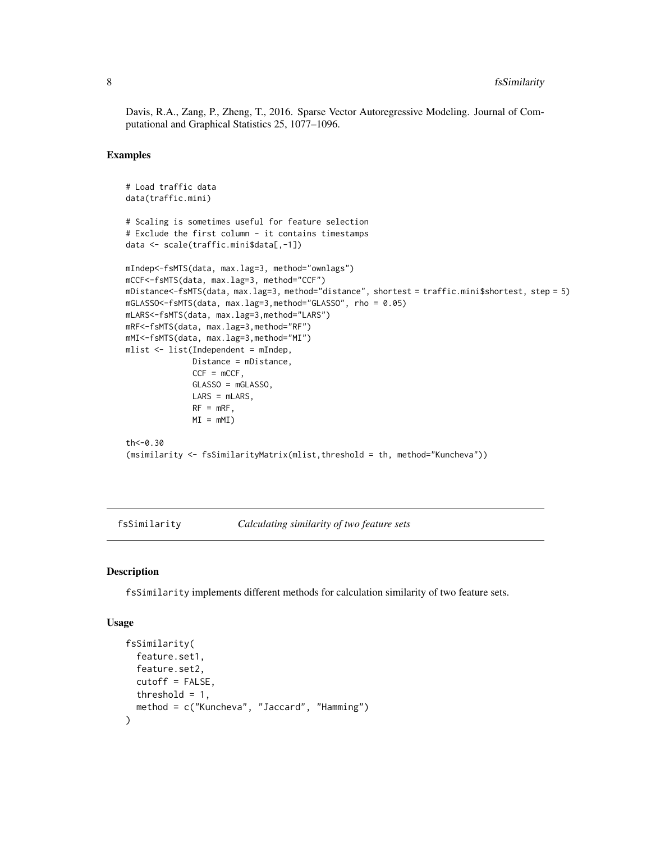Davis, R.A., Zang, P., Zheng, T., 2016. Sparse Vector Autoregressive Modeling. Journal of Computational and Graphical Statistics 25, 1077–1096.

#### Examples

```
# Load traffic data
data(traffic.mini)
# Scaling is sometimes useful for feature selection
# Exclude the first column - it contains timestamps
data <- scale(traffic.mini$data[,-1])
mIndep<-fsMTS(data, max.lag=3, method="ownlags")
mCCF<-fsMTS(data, max.lag=3, method="CCF")
mDistance<-fsMTS(data, max.lag=3, method="distance", shortest = traffic.mini$shortest, step = 5)
mGLASSO<-fsMTS(data, max.lag=3,method="GLASSO", rho = 0.05)
mLARS<-fsMTS(data, max.lag=3,method="LARS")
mRF<-fsMTS(data, max.lag=3,method="RF")
mMI<-fsMTS(data, max.lag=3,method="MI")
mlist <- list(Independent = mIndep,
              Distance = mDistance,
              CCF = mCCF,
              GLASSO = mGLASSO,
              LARS = mLARS,
              RF = mRF,MI = mMJth < -0.30(msimilarity <- fsSimilarityMatrix(mlist,threshold = th, method="Kuncheva"))
```
<span id="page-7-1"></span>fsSimilarity *Calculating similarity of two feature sets*

#### **Description**

fsSimilarity implements different methods for calculation similarity of two feature sets.

#### Usage

```
fsSimilarity(
  feature.set1,
  feature.set2,
  cutoff = FALSE,
  threshold = 1,
  method = c("Kuncheva", "Jaccard", "Hamming")
)
```
<span id="page-7-0"></span>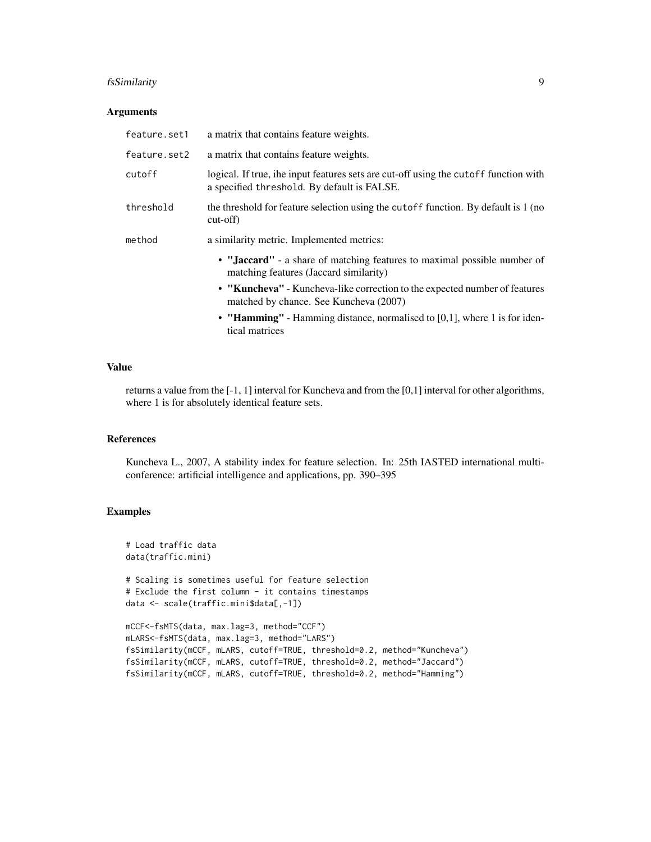#### fsSimilarity 9

#### Arguments

| feature.set1 | a matrix that contains feature weights.                                                                                             |
|--------------|-------------------------------------------------------------------------------------------------------------------------------------|
| feature.set2 | a matrix that contains feature weights.                                                                                             |
| cutoff       | logical. If true, ihe input features sets are cut-off using the cutoff function with<br>a specified threshold. By default is FALSE. |
| threshold    | the threshold for feature selection using the cutoff function. By default is 1 (no<br>$cut-off)$                                    |
| method       | a similarity metric. Implemented metrics:                                                                                           |
|              | • "Jaccard" - a share of matching features to maximal possible number of<br>matching features (Jaccard similarity)                  |
|              | • "Kuncheva" - Kuncheva-like correction to the expected number of features<br>matched by chance. See Kuncheva (2007)                |
|              | • "Hamming" - Hamming distance, normalised to $[0,1]$ , where 1 is for iden-                                                        |

#### Value

returns a value from the [-1, 1] interval for Kuncheva and from the [0,1] interval for other algorithms, where 1 is for absolutely identical feature sets.

tical matrices

#### References

Kuncheva L., 2007, A stability index for feature selection. In: 25th IASTED international multiconference: artificial intelligence and applications, pp. 390–395

```
# Load traffic data
data(traffic.mini)
# Scaling is sometimes useful for feature selection
# Exclude the first column - it contains timestamps
data <- scale(traffic.mini$data[,-1])
mCCF<-fsMTS(data, max.lag=3, method="CCF")
mLARS<-fsMTS(data, max.lag=3, method="LARS")
fsSimilarity(mCCF, mLARS, cutoff=TRUE, threshold=0.2, method="Kuncheva")
fsSimilarity(mCCF, mLARS, cutoff=TRUE, threshold=0.2, method="Jaccard")
fsSimilarity(mCCF, mLARS, cutoff=TRUE, threshold=0.2, method="Hamming")
```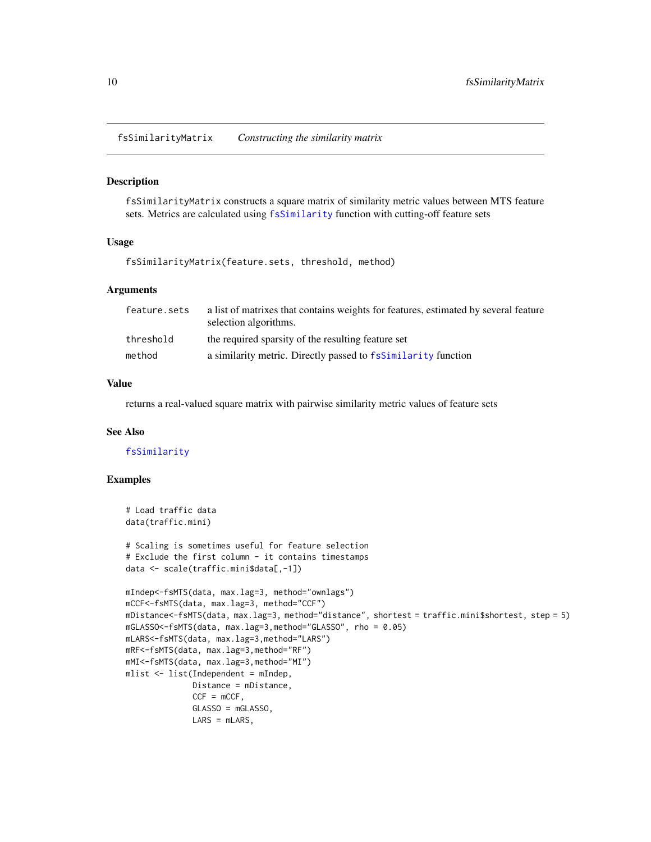<span id="page-9-0"></span>fsSimilarityMatrix *Constructing the similarity matrix*

#### Description

fsSimilarityMatrix constructs a square matrix of similarity metric values between MTS feature sets. Metrics are calculated using [fsSimilarity](#page-7-1) function with cutting-off feature sets

#### Usage

fsSimilarityMatrix(feature.sets, threshold, method)

#### Arguments

| feature.sets | a list of matrixes that contains weights for features, estimated by several feature<br>selection algorithms. |
|--------------|--------------------------------------------------------------------------------------------------------------|
| threshold    | the required sparsity of the resulting feature set                                                           |
| method       | a similarity metric. Directly passed to fsSimilarity function                                                |

#### Value

returns a real-valued square matrix with pairwise similarity metric values of feature sets

#### See Also

[fsSimilarity](#page-7-1)

```
# Load traffic data
data(traffic.mini)
# Scaling is sometimes useful for feature selection
# Exclude the first column - it contains timestamps
data <- scale(traffic.mini$data[,-1])
mIndep<-fsMTS(data, max.lag=3, method="ownlags")
mCCF<-fsMTS(data, max.lag=3, method="CCF")
mDistance<-fsMTS(data, max.lag=3, method="distance", shortest = traffic.mini$shortest, step = 5)
mGLASSO<-fsMTS(data, max.lag=3,method="GLASSO", rho = 0.05)
mLARS<-fsMTS(data, max.lag=3,method="LARS")
mRF<-fsMTS(data, max.lag=3,method="RF")
mMI<-fsMTS(data, max.lag=3,method="MI")
mlist <- list(Independent = mIndep,
              Distance = mDistance,
              CCF = mCCF,GLASSO = mGLASSO,
              LARS = mLARS,
```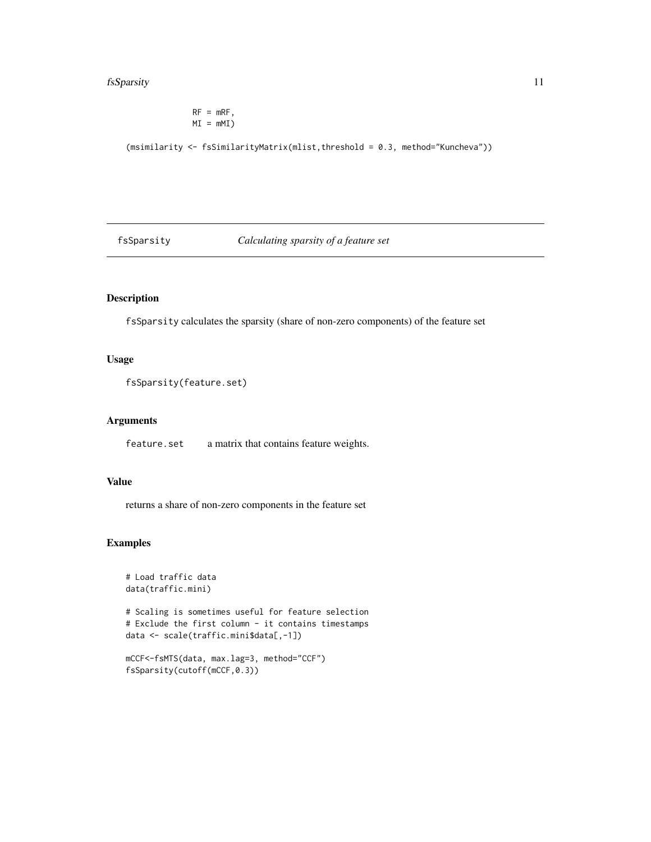#### <span id="page-10-0"></span>fsSparsity 11

 $RF = mRF,$  $MI = mM$ 

(msimilarity <- fsSimilarityMatrix(mlist,threshold = 0.3, method="Kuncheva"))

fsSparsity *Calculating sparsity of a feature set*

## Description

fsSparsity calculates the sparsity (share of non-zero components) of the feature set

#### Usage

```
fsSparsity(feature.set)
```
#### Arguments

feature.set a matrix that contains feature weights.

## Value

returns a share of non-zero components in the feature set

```
# Load traffic data
data(traffic.mini)
# Scaling is sometimes useful for feature selection
# Exclude the first column - it contains timestamps
data <- scale(traffic.mini$data[,-1])
mCCF<-fsMTS(data, max.lag=3, method="CCF")
```

```
fsSparsity(cutoff(mCCF,0.3))
```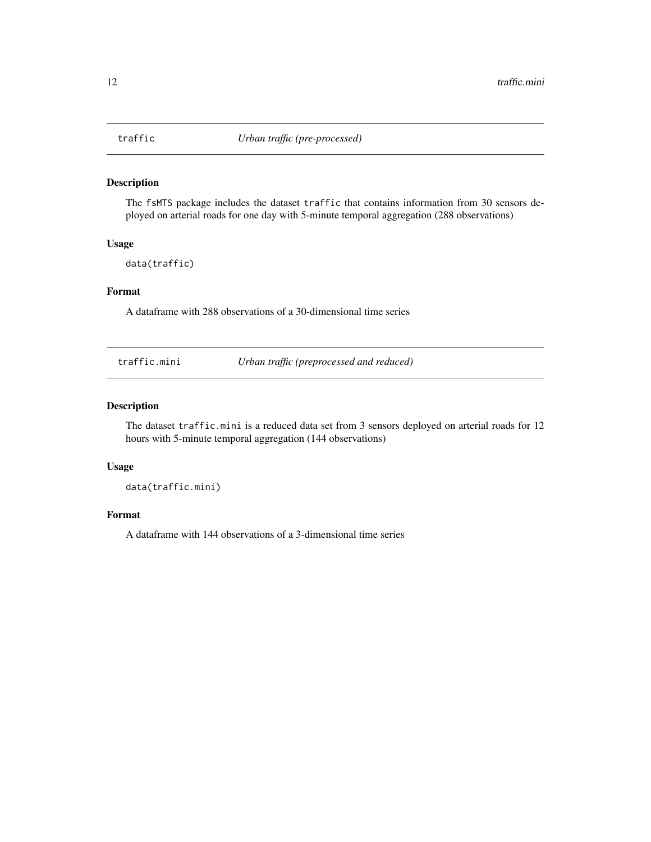<span id="page-11-0"></span>

## Description

The fsMTS package includes the dataset traffic that contains information from 30 sensors deployed on arterial roads for one day with 5-minute temporal aggregation (288 observations)

#### Usage

data(traffic)

#### Format

A dataframe with 288 observations of a 30-dimensional time series

traffic.mini *Urban traffic (preprocessed and reduced)*

#### Description

The dataset traffic.mini is a reduced data set from 3 sensors deployed on arterial roads for 12 hours with 5-minute temporal aggregation (144 observations)

## Usage

data(traffic.mini)

## Format

A dataframe with 144 observations of a 3-dimensional time series